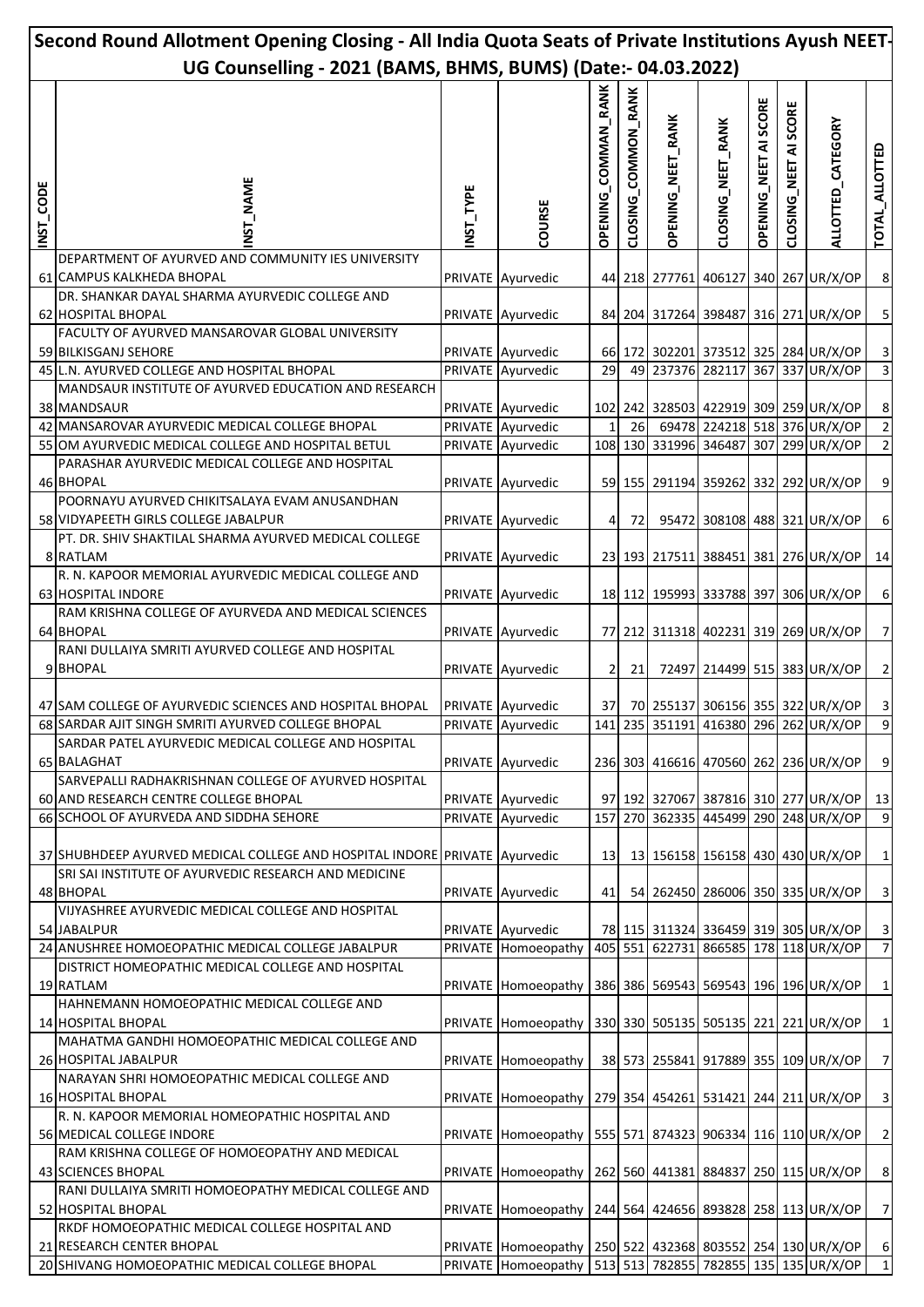| Second Round Allotment Opening Closing - All India Quota Seats of Private Institutions Ayush NEET- |                                                                                               |          |                                                                       |                            |                     |                          |                   |                              |                       |                                       |                         |
|----------------------------------------------------------------------------------------------------|-----------------------------------------------------------------------------------------------|----------|-----------------------------------------------------------------------|----------------------------|---------------------|--------------------------|-------------------|------------------------------|-----------------------|---------------------------------------|-------------------------|
| UG Counselling - 2021 (BAMS, BHMS, BUMS) (Date:- 04.03.2022)                                       |                                                                                               |          |                                                                       |                            |                     |                          |                   |                              |                       |                                       |                         |
| NST_CODE                                                                                           | <b>NAME</b><br>51<br>2                                                                        | NST_TYPE | COURSE                                                                | <b>OPENING_COMMAN_RANK</b> | CLOSING_COMMON_RANK | <b>OPENING_NEET_RANK</b> | CLOSING_NEET_RANK | <b>OPENING NEET AI SCORE</b> | CLOSING_NEET AI SCORE | ALLOTTED_CATEGORY                     | TOTAL_ALLOTTED          |
|                                                                                                    | DEPARTMENT OF AYURVED AND COMMUNITY IES UNIVERSITY<br>61 CAMPUS KALKHEDA BHOPAL               |          | PRIVATE Ayurvedic                                                     |                            |                     |                          |                   |                              |                       | 44 218 277761 406127 340 267 UR/X/OP  | $\bf 8$                 |
|                                                                                                    | DR. SHANKAR DAYAL SHARMA AYURVEDIC COLLEGE AND<br>62 HOSPITAL BHOPAL                          |          | PRIVATE Ayurvedic                                                     |                            |                     |                          |                   |                              |                       | 84 204 317264 398487 316 271 UR/X/OP  | $\overline{\mathbf{5}}$ |
|                                                                                                    | FACULTY OF AYURVED MANSAROVAR GLOBAL UNIVERSITY                                               |          |                                                                       |                            |                     |                          |                   |                              |                       |                                       |                         |
|                                                                                                    | 59 BILKISGANJ SEHORE                                                                          |          | PRIVATE Ayurvedic                                                     |                            |                     |                          |                   |                              |                       | 66 172 302201 373512 325 284 UR/X/OP  | $\mathsf 3$             |
|                                                                                                    | 45 L.N. AYURVED COLLEGE AND HOSPITAL BHOPAL                                                   |          | PRIVATE Ayurvedic                                                     | 29                         | 49                  |                          |                   |                              |                       | 237376 282117 367 337 UR/X/OP         | ω                       |
|                                                                                                    | MANDSAUR INSTITUTE OF AYURVED EDUCATION AND RESEARCH<br>38 MANDSAUR                           |          | PRIVATE Ayurvedic                                                     |                            |                     |                          |                   |                              |                       | 102 242 328503 422919 309 259 UR/X/OP | $\bf 8$                 |
|                                                                                                    | 42 MANSAROVAR AYURVEDIC MEDICAL COLLEGE BHOPAL                                                |          | PRIVATE Ayurvedic                                                     |                            | 26                  |                          |                   |                              |                       | 69478 224218 518 376 UR/X/OP          | $\mathbf 2$             |
|                                                                                                    | 55 OM AYURVEDIC MEDICAL COLLEGE AND HOSPITAL BETUL                                            |          | PRIVATE Ayurvedic                                                     |                            |                     | 108 130 331996 346487    |                   |                              |                       | 307 299 UR/X/OP                       | $\overline{2}$          |
|                                                                                                    | PARASHAR AYURVEDIC MEDICAL COLLEGE AND HOSPITAL<br>46 BHOPAL                                  |          | PRIVATE Ayurvedic                                                     |                            |                     |                          |                   |                              |                       | 59 155 291194 359262 332 292 UR/X/OP  | $\boldsymbol{9}$        |
|                                                                                                    | POORNAYU AYURVED CHIKITSALAYA EVAM ANUSANDHAN<br>58 VIDYAPEETH GIRLS COLLEGE JABALPUR         |          | PRIVATE Ayurvedic                                                     | 4                          | 72                  |                          |                   |                              |                       | 95472 308108 488 321 UR/X/OP          | $\boldsymbol{6}$        |
|                                                                                                    | PT. DR. SHIV SHAKTILAL SHARMA AYURVED MEDICAL COLLEGE                                         |          |                                                                       |                            |                     |                          |                   |                              |                       |                                       |                         |
|                                                                                                    | 8 RATLAM                                                                                      |          | PRIVATE Ayurvedic                                                     |                            |                     |                          |                   |                              |                       | 23 193 217511 388451 381 276 UR/X/OP  | 14                      |
|                                                                                                    | R. N. KAPOOR MEMORIAL AYURVEDIC MEDICAL COLLEGE AND<br>63 HOSPITAL INDORE                     |          | PRIVATE Ayurvedic                                                     |                            |                     |                          |                   |                              |                       | 18 112 195993 333788 397 306 UR/X/OP  | $\boldsymbol{6}$        |
|                                                                                                    | RAM KRISHNA COLLEGE OF AYURVEDA AND MEDICAL SCIENCES<br>64 BHOPAL                             |          | PRIVATE Ayurvedic                                                     |                            |                     |                          |                   |                              |                       | 77 212 311318 402231 319 269 UR/X/OP  | $\overline{7}$          |
|                                                                                                    | RANI DULLAIYA SMRITI AYURVED COLLEGE AND HOSPITAL<br>9 BHOPAL                                 |          | PRIVATE Ayurvedic                                                     | 2                          | 21                  |                          |                   |                              |                       | 72497 214499 515 383 UR/X/OP          | $\mathbf 2$             |
|                                                                                                    | 47 SAM COLLEGE OF AYURVEDIC SCIENCES AND HOSPITAL BHOPAL                                      |          | PRIVATE Ayurvedic                                                     | 37                         |                     |                          |                   |                              |                       | 70 255137 306156 355 322 UR/X/OP      | $\mathbf{3}$            |
|                                                                                                    | 68 SARDAR AJIT SINGH SMRITI AYURVED COLLEGE BHOPAL                                            |          | PRIVATE Ayurvedic                                                     |                            |                     |                          |                   |                              |                       | 141 235 351191 416380 296 262 UR/X/OP | 9                       |
|                                                                                                    | SARDAR PATEL AYURVEDIC MEDICAL COLLEGE AND HOSPITAL                                           |          |                                                                       |                            |                     |                          |                   |                              |                       |                                       |                         |
|                                                                                                    | <b>65 BALAGHAT</b>                                                                            |          | PRIVATE Ayurvedic                                                     |                            |                     |                          |                   |                              |                       | 236 303 416616 470560 262 236 UR/X/OP | $\boldsymbol{9}$        |
|                                                                                                    | SARVEPALLI RADHAKRISHNAN COLLEGE OF AYURVED HOSPITAL<br>60 AND RESEARCH CENTRE COLLEGE BHOPAL |          | PRIVATE Ayurvedic                                                     |                            |                     |                          |                   |                              |                       | 97 192 327067 387816 310 277 UR/X/OP  | 13                      |
|                                                                                                    | 66 SCHOOL OF AYURVEDA AND SIDDHA SEHORE                                                       |          | PRIVATE Ayurvedic                                                     |                            |                     |                          |                   |                              |                       | 157 270 362335 445499 290 248 UR/X/OP | 9                       |
|                                                                                                    | 37 SHUBHDEEP AYURVED MEDICAL COLLEGE AND HOSPITAL INDORE PRIVATE Ayurvedic                    |          |                                                                       | 13                         |                     |                          |                   |                              |                       | 13 156158 156158 430 430 UR/X/OP      | $\mathbf 1$             |
|                                                                                                    | SRI SAI INSTITUTE OF AYURVEDIC RESEARCH AND MEDICINE<br>48 BHOPAL                             |          | PRIVATE Ayurvedic                                                     | 41                         |                     |                          |                   |                              |                       | 54 262450 286006 350 335 UR/X/OP      | $\overline{\mathbf{3}}$ |
|                                                                                                    | VIJYASHREE AYURVEDIC MEDICAL COLLEGE AND HOSPITAL<br>54 JABALPUR                              |          | PRIVATE Ayurvedic                                                     |                            |                     |                          |                   |                              |                       | 78 115 311324 336459 319 305 UR/X/OP  | $\overline{3}$          |
|                                                                                                    | 24 ANUSHREE HOMOEOPATHIC MEDICAL COLLEGE JABALPUR                                             |          | PRIVATE Homoeopathy                                                   |                            | 405 551             |                          |                   |                              |                       | 622731 866585 178 118 UR/X/OP         | $\overline{1}$          |
|                                                                                                    | DISTRICT HOMEOPATHIC MEDICAL COLLEGE AND HOSPITAL<br>19 RATLAM                                |          | PRIVATE Homoeopathy                                                   |                            |                     |                          |                   |                              |                       | 386 386 569543 569543 196 196 UR/X/OP | $\mathbf 1$             |
|                                                                                                    | HAHNEMANN HOMOEOPATHIC MEDICAL COLLEGE AND                                                    |          |                                                                       |                            |                     |                          |                   |                              |                       |                                       |                         |
|                                                                                                    | 14 HOSPITAL BHOPAL<br>MAHATMA GANDHI HOMOEOPATHIC MEDICAL COLLEGE AND                         |          | PRIVATE Homoeopathy                                                   |                            |                     |                          |                   |                              |                       | 330 330 505135 505135 221 221 UR/X/OP | $\mathbf 1$             |
|                                                                                                    | 26 HOSPITAL JABALPUR                                                                          |          | PRIVATE Homoeopathy                                                   |                            |                     |                          |                   |                              |                       | 38 573 255841 917889 355 109 UR/X/OP  | $\overline{7}$          |
|                                                                                                    | NARAYAN SHRI HOMOEOPATHIC MEDICAL COLLEGE AND<br>16 HOSPITAL BHOPAL                           |          | PRIVATE Homoeopathy                                                   |                            |                     |                          |                   |                              |                       | 279 354 454261 531421 244 211 UR/X/OP | $\overline{\mathbf{3}}$ |
|                                                                                                    | R. N. KAPOOR MEMORIAL HOMEOPATHIC HOSPITAL AND<br>56 MEDICAL COLLEGE INDORE                   |          | PRIVATE Homoeopathy                                                   |                            |                     |                          |                   |                              |                       | 555 571 874323 906334 116 110 UR/X/OP | $\overline{2}$          |
|                                                                                                    | RAM KRISHNA COLLEGE OF HOMOEOPATHY AND MEDICAL<br>43 SCIENCES BHOPAL                          |          | PRIVATE Homoeopathy                                                   |                            |                     |                          |                   |                              |                       | 262 560 441381 884837 250 115 UR/X/OP | $\,$ 8 $\,$             |
|                                                                                                    | RANI DULLAIYA SMRITI HOMOEOPATHY MEDICAL COLLEGE AND                                          |          |                                                                       |                            |                     |                          |                   |                              |                       |                                       |                         |
|                                                                                                    | 52 HOSPITAL BHOPAL                                                                            |          | PRIVATE Homoeopathy                                                   |                            |                     |                          |                   |                              |                       | 244 564 424656 893828 258 113 UR/X/OP | $\overline{7}$          |
|                                                                                                    | RKDF HOMOEOPATHIC MEDICAL COLLEGE HOSPITAL AND<br>21 RESEARCH CENTER BHOPAL                   |          | PRIVATE Homoeopathy   250   522   432368   803552   254   130 UR/X/OP |                            |                     |                          |                   |                              |                       |                                       | $\boldsymbol{6}$        |
|                                                                                                    | 20 SHIVANG HOMOEOPATHIC MEDICAL COLLEGE BHOPAL                                                |          | PRIVATE Homoeopathy   513   513   782855   782855   135   135 UR/X/OP |                            |                     |                          |                   |                              |                       |                                       | $\mathbf{1}$            |